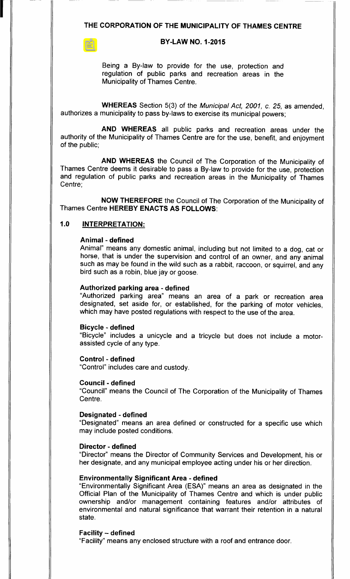## THE CORPORATION OF THE MUNICIPALITY OF THAMES CENTRE

# **BY-LAW NO. 1-2015**

Being a By-law to provide for the use, protection and regulation of public parks and recreation areas in the Municipality of Thames Centre.

WHEREAS Section 5(3) of the Municipal Act, 2001, c. 25, as amended, authorizes a municipality to pass by-laws to exercise its municipal powers;

AND WHEREAS all public parks and recreation areas under the authority of the Municipality of Thames Centre are for the use, benefit, and enjoyment of the public;

AND WHEREAS the Council of The Corporation of the Municipality of Thames Centre deems it desirable to pass a By-law to provide for the use, protection and regulation of public parks and recreation areas in the Municipality of Thames Centre;

NOW THEREFORE the Council of The Corporation of the Municipality of Thames Centre HEREBY ENACTS AS FOLLOWS:

# 1.0 INTERPRETATION:

# Animal - defined

Animal" means any domestic animal, including but not limited to a dog, cat or horse, that is under the supervision and control of an owner, and any animal such as may be found in the wild such as a rabbit, raccoon, or squirrel, and any bird such as a robin, blue jay or goose.

#### Authorized parking area - defined

Authorized parking area" means an area of a park or recreation area designated, set aside for, or established, for the parking of motor vehicles, which may have posted regulations with respect to the use of the area.

#### Bicycle - defined

Bicycle" includes a unicycle and <sup>a</sup> tricycle but does not include a motorassisted cycle of any type.

Control - defined Control" includes care and custody.

Council - defined

Council" means the Council of The Corporation of the Municipality of Thames Centre.

#### Designated - defined

Designated" means an area defined or constructed for a specific use which may include posted conditions.

#### Director - defined

Director" means the Director of Community Services and Development, his or her designate, and any municipal employee acting under his or her direction.

#### Environmentally Significant Area - defined

Environmentally Significant Area ( ESA)" means an area as designated in the Official Plan of the Municipality of Thames Centre and which is under public ownership and/or management containing features and/or attributes of environmental and natural significance that warrant their retention in a natural state.

#### Facility — defined

Facility" means any enclosed structure with <sup>a</sup> roof and entrance door.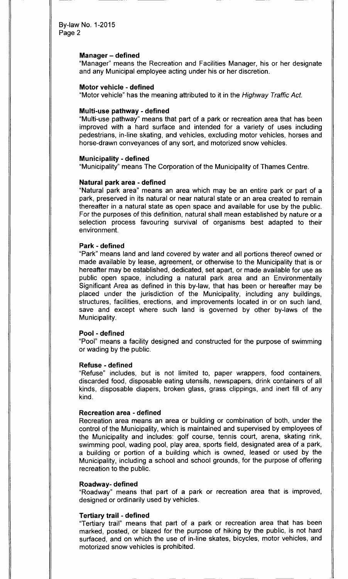#### Manager— defined

Manager" means the Recreation and Facilities Manager, his or her designate and any Municipal employee acting under his or her discretion.

#### Motor vehicle - defined

"Motor vehicle" has the meaning attributed to it in the Highway Traffic Act.

#### Multi-use pathway - defined

"Multi-use pathway" means that part of a park or recreation area that has been improved with a hard surface and intended for a variety of uses including pedestrians, in- line skating, and vehicles, excluding motor vehicles, horses and horse-drawn conveyances of any sort, and motorized snow vehicles.

#### Municipality - defined

Municipality" means The Corporation of the Municipality of Thames Centre.

#### Natural park area - defined

Natural park area" means an area which may be an entire park or part of <sup>a</sup> park, preserved in its natural or near natural state or an area created to remain thereafter in a natural state as open space and available for use by the public. For the purposes of this definition, natural shall mean established by nature or a selection process favouring survival of organisms best adapted to their environment.

#### Park - defined

Park" means land and land covered by water and all portions thereof owned or made available by lease, agreement, or otherwise to the Municipality that is or hereafter may be established, dedicated, set apart, or made available for use as public open space, including a natural park area and an Environmentally Significant Area as defined in this by-law, that has been or hereafter may be placed under the jurisdiction of the Municipality, including any buildings, structures, facilities, erections, and improvements located in or on such land, save and except where such land is governed by other by-laws of the Municipality.

#### Pool - defined

Pool" means a facility designed and constructed for the purpose of swimming or wading by the public.

#### Refuse - defined

Refuse" includes, but is not limited to, paper wrappers, food containers, discarded food, disposable eating utensils, newspapers, drink containers of all kinds, disposable diapers, broken glass, grass clippings, and inert fill of any kind.

#### Recreation area - defined

Recreation area means an area or building or combination of both, under the control of the Municipality, which is maintained and supervised by employees of the Municipality and includes: golf course, tennis court, arena, skating rink, swimming pool, wading pool, play area, sports field, designated area of a park, <sup>a</sup> building or portion of <sup>a</sup> building which is owned, leased or used by the Municipality, including a school and school grounds, for the purpose of offering recreation to the public.

#### Roadway- defined

Roadway" means that part of <sup>a</sup> park or recreation area that is improved, designed or ordinarily used by vehicles.

#### Tertiary trail - defined

Tertiary trail" means that part of a park or recreation area that has been marked, posted, or blazed for the purpose of hiking by the public, is not hard surfaced, and on which the use of in-line skates, bicycles, motor vehicles, and motorized snow vehicles is prohibited.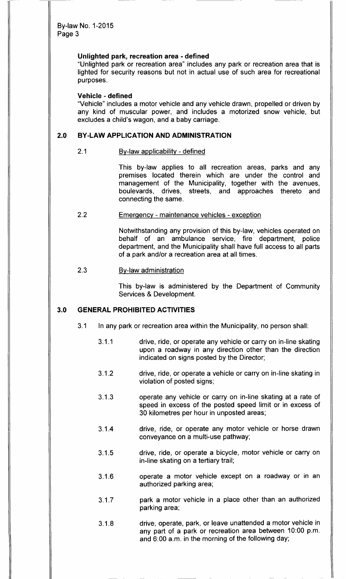#### Unlighted park, recreation area - defined

Unlighted park or recreation area" includes any park or recreation area that is lighted for security reasons but not in actual use of such area for recreational purposes.

#### Vehicle - defined

Vehicle" includes a motor vehicle and any vehicle drawn, propelled or driven by any kind of muscular power, and includes a motorized snow vehicle, but excludes a child's wagon, and a baby carriage.

# 2.0 BY-LAW APPLICATION AND ADMINISTRATION

# 2. <sup>1</sup> By-law applicability - defined

This by-law applies to all recreation areas, parks and any premises located therein which are under the control and management of the Municipality, together with the avenues, boulevards, drives, streets, and approaches thereto and connecting the same.

#### 2.2 Emergency - maintenance vehicles - exception

Notwithstanding any provision of this by-law, vehicles operated on behalf of an ambulance service, fire department, police department, and the Municipality shall have full access to all parts of a park and/or a recreation area at all times.

# 2.3 By-law administration

This by-law is administered by the Department of Community Services & Development.

# **3.0 GENERAL PROHIBITED ACTIVITIES**

- 3. <sup>1</sup> In any park or recreation area within the Municipality, no person shall:
	- 3.1.1 drive, ride, or operate any vehicle or carry on in-line skating upon a roadway in any direction other than the direction indicated on signs posted by the Director;
	- 3.1.2 drive, ride, or operate a vehicle or carry on in-line skating in violation of posted signs;
	- 3.1.3 operate any vehicle or carry on in-line skating at a rate of speed in excess of the posted speed limit or in excess of 30 kilometres per hour in unposted areas;
	- 3. 1. 4 drive, ride, or operate any motor vehicle or horse drawn conveyance on a multi-use pathway;
	- 3.1.5 drive, ride, or operate a bicycle, motor vehicle or carry on in-line skating on a tertiary trail;
	- 3.1.6 operate a motor vehicle except on a roadway or in an authorized parking area;
	- 3.1.7 **park a motor vehicle in a place other than an authorized** parking area;
	- 3. 1. 8 drive, operate, park, or leave unattended a motor vehicle in any part of a park or recreation area between 10:00 p.m. and 6:00 a.m. in the morning of the following day;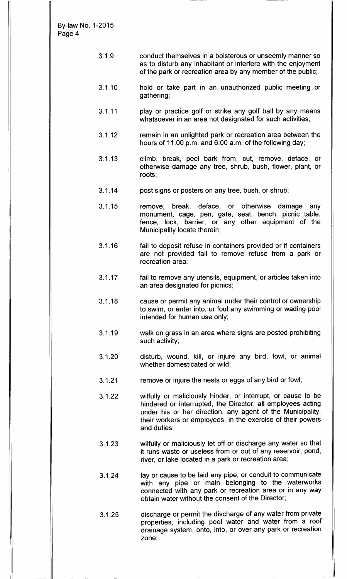- 3. 1. 9 conduct themselves in a boisterous or unseemly manner so as to disturb any inhabitant or interfere with the enjoyment of the park or recreation area by any member of the public;
- 3. 1. 10 hold or take part in an unauthorized public meeting or gathering;
- 3. 1. 11 play or practice golf or strike any golf ball by any means whatsoever in an area not designated for such activities;
- 3. 1. 12 remain in an unlighted park or recreation area between the hours of 11:00 p.m. and  $6:00$  a.m. of the following day;
- 3. 1. 13 climb, break, peel bark from, cut, remove, deface, or otherwise damage any tree, shrub, bush, flower, plant, or roots;
- 3. 1. 14 post signs or posters on any tree, bush, or shrub;
- 3. 1. 15 remove, break, deface, or otherwise damage any monument, cage, pen, gate, seat, bench, picnic table, fence, lock, barrier, or any other equipment of the Municipality locate therein;
- 3.1.16 fail to deposit refuse in containers provided or if containers are not provided fail to remove refuse from a park or recreation area;
- 3. 1. 17 fail to remove any utensils, equipment, or articles taken into an area designated for picnics;
- 3. 1. 18 cause or permit any animal under their control or ownership to swim, or enter into, or foul any swimming or wading pool intended for human use only;
- 3. 1. 19 walk on grass in an area where signs are posted prohibiting such activity;
- 3. 1. 20 disturb, wound, kill, or injure any bird, fowl, or animal whether domesticated or wild;
- 3.1.21 remove or injure the nests or eggs of any bird or fowl;
- 3. 1. 22 wilfully or maliciously hinder, or interrupt, or cause to be hindered or interrupted, the Director, all employees acting under his or her direction, any agent of the Municipality, their workers or employees, in the exercise of their powers and duties;
- 3. 1. 23 wilfully or maliciously let off or discharge any water so that it runs waste or useless from or out of any reservoir, pond, river, or lake located in a park or recreation area;
- 3.1.24 lay or cause to be laid any pipe, or conduit to communicate with any pipe or main belonging to the waterworks connected with any park or recreation area or in any way obtain water without the consent of the Director;
- 3. 1. 25 discharge or permit the discharge of any water from private properties, including pool water and water from a roof drainage system, onto, into, or over any park or recreation zone;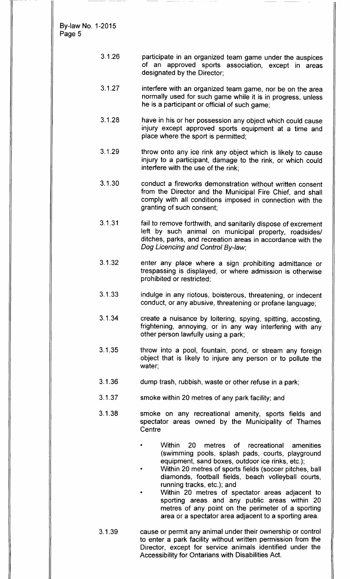> 3. 1. 26 participate in an organized team game under the auspices of an approved sports association, except in areas designated by the Director;

r.

- 3.1.27 interfere with an organized team game, nor be on the area normally used for such game while it is in progress, unless he is a participant or official of such game;
- 3. 1. 28 have in his or her possession any object which could cause injury except approved sports equipment at a time and place where the sport is permitted;
- 3.1.29 throw onto any ice rink any object which is likely to cause injury to a participant, damage to the rink, or which could interfere with the use of the rink;
- 3. 1. 30 conduct a fireworks demonstration without written consent from the Director and the Municipal Fire Chief, and shall comply with all conditions imposed in connection with the granting of such consent;
- 3. 1. <sup>31</sup> fail to remove forthwith, and sanitarily dispose of excrement left by such animal on municipal property, roadsides/ ditches, parks, and recreation areas in accordance with the Dog Licencing and Control By-law;
- 3. 1. 32 enter any place where <sup>a</sup> sign prohibiting admittance or trespassing is displayed, or where admission is otherwise prohibited or restricted;
- 3. 1. 33 indulge in any riotous, boisterous, threatening, or indecent conduct, or any abusive, threatening or profane language;
- 3. 1. 34 create <sup>a</sup> nuisance by loitering, spying, spitting, accosting, frightening, annoying, or in any way interfering with any other person lawfully using a park;
- 3. 1. 35 throw into <sup>a</sup> pool, fountain, pond, or stream any foreign object that is likely to injure any person or to pollute the water;
- 3. 1. 36 dump trash, rubbish, waste or other refuse in a park;
- 3. 1. 37 smoke within 20 metres of any park facility; and
- 3. 1. 38 smoke on any recreational amenity, sports fields and spectator areas owned by the Municipality of Thames **Centre** 
	- Within 20 metres of recreational amenities swimming pools, splash pads, courts, playground equipment, sand boxes, outdoor ice rinks, etc.);
	- Within 20 metres of sports fields (soccer pitches, ball diamonds, football fields, beach volleyball courts, running tracks, etc.); and
	- Within 20 metres of spectator areas adjacent to sporting areas and any public areas within 20 metres of any point on the perimeter of a sporting area or a spectator area adjacent to a sporting area.
- 3. 1. 39 cause or permit any animal under their ownership or control to enter a park facility without written permission from the Director, except for service animals identified under the Accessibility for Ontarians with Disabilities Act.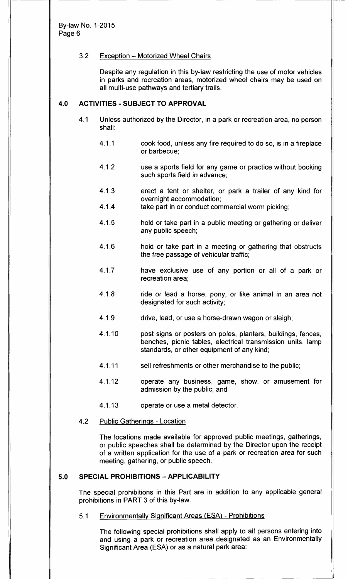# 3. 2 Exception — Motorized Wheel Chairs

Despite any regulation in this by-law restricting the use of motor vehicles in parks and recreation areas, motorized wheel chairs may be used on all multi-use pathways and tertiary trails.

# 4.0 ACTIVITIES - SUBJECT TO APPROVAL

- 4.1 Unless authorized by the Director, in a park or recreation area, no person shall:
	- 4. 1. <sup>1</sup> cook food, unless any fire required to do so, is in a fireplace or barbecue;
	- 4.1.2 use a sports field for any game or practice without booking such sports field in advance;
	- 4. 1. 3 erect a tent or shelter, or park a trailer of any kind for overnight accommodation;
	- 4.1.4 take part in or conduct commercial worm picking;
	- 4.1.5 hold or take part in a public meeting or gathering or deliver any public speech;
	- 4.1.6 hold or take part in a meeting or gathering that obstructs the free passage of vehicular traffic;
	- 4.1.7 have exclusive use of any portion or all of a park or recreation area;
	- 4.1.8 ride or lead a horse, pony, or like animal in an area not designated for such activity;
	- 4.1.9 drive, lead, or use a horse-drawn wagon or sleigh;
	- 4. 1. 10 post signs or posters on poles, planters, buildings, fences, benches, picnic tables, electrical transmission units, lamp standards, or other equipment of any kind;
	- 4.1.11 sell refreshments or other merchandise to the public;
	- 4. 1. 12 operate any business, game, show, or amusement for admission by the public; and
	- 4. 1. 13 operate or use a metal detector.

#### 4.2 Public Gatherings - Location

The locations made available for approved public meetings, gatherings, or public speeches shall be determined by the Director upon the receipt of a written application for the use of a park or recreation area for such meeting, gathering, or public speech.

# 5.0 SPECIAL PROHIBITIONS - APPLICABILITY

The special prohibitions in this Part are in addition to any applicable general prohibitions in PART 3 of this by-law.

5. <sup>1</sup> Environmentally Significant Areas (ESA) - Prohibitions

The following special prohibitions shall apply to all persons entering into and using a park or recreation area designated as an Environmentally Significant Area (ESA) or as a natural park area: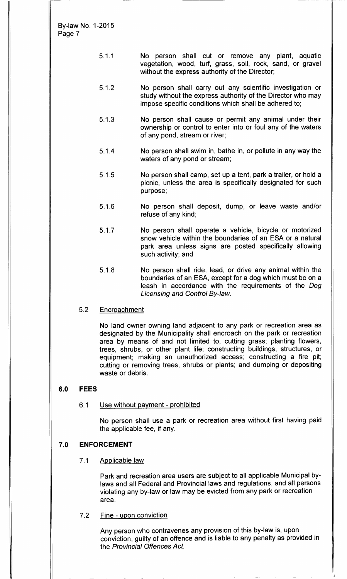- 5. 1. <sup>1</sup> No person shall cut or remove any plant, aquatic vegetation, wood, turf, grass, soil, rock, sand, or gravel without the express authority of the Director;
- 5. 1. 2 No person shall carry out any scientific investigation or study without the express authority of the Director who may impose specific conditions which shall be adhered to;
- 5.1.3 No person shall cause or permit any animal under their ownership or control to enter into or foul any of the waters of any pond, stream or river;
- 5. 1. 4 No person shall swim in, bathe in, or pollute in any way the waters of any pond or stream;
- 5. 1. 5 No person shall camp, set up a tent, park a trailer, or hold a picnic, unless the area is specifically designated for such purpose;
- 5. 1. 6 No person shall deposit, dump, or leave waste and/or refuse of any kind;
- 5. 1. 7 No person shall operate a vehicle, bicycle or motorized snow vehicle within the boundaries of an ESA or a natural park area unless signs are posted specifically allowing such activity; and
- 5. 1. 8 No person shall ride, lead, or drive any animal within the boundaries of an ESA, except for a dog which must be on a leash in accordance with the requirements of the Dog Licensing and Control By-law.
- 5.2 Encroachment

No land owner owning land adjacent to any park or recreation area as designated by the Municipality shall encroach on the park or recreation area by means of and not limited to, cutting grass; planting flowers, trees, shrubs, or other plant life; constructing buildings, structures, or equipment; making an unauthorized access; constructing <sup>a</sup> fire pit; cutting or removing trees, shrubs or plants; and dumping or depositing waste or debris.

# 6.0 FEES

# 6.1 Use without payment - prohibited

No person shall use a park or recreation area without first having paid the applicable fee, if any.

# 7. 0 ENFORCEMENT

7.1 Applicable law

Park and recreation area users are subject to all applicable Municipal bylaws and all Federal and Provincial laws and regulations, and all persons violating any by-law or law may be evicted from any park or recreation area.

7.2 Fine - upon conviction

Any person who contravenes any provision of this by-law is, upon conviction, guilty of an offence and is liable to any penalty as provided in the Provincial Offences Act.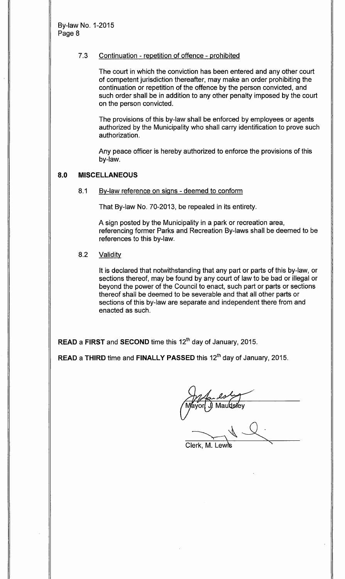# 7.3 Continuation - repetition of offence - prohibited

The court in which the conviction has been entered and any other court of competent jurisdiction thereafter, may make an order prohibiting the continuation or repetition of the offence by the person convicted, and such order shall be in addition to any other penalty imposed by the court on the person convicted.

The provisions of this by-law shall be enforced by employees or agents authorized by the Municipality who shall carry identification to prove such authorization.

Any peace officer is hereby authorized to enforce the provisions of this by-law.

# 8.0 MISCELLANEOUS

#### 8.1 By-law reference on signs - deemed to conform

That By-law No. 70-2013, be repealed in its entirety.

A sign posted by the Municipality in a park or recreation area, referencing former Parks and Recreation By-laws shall be deemed to be references to this by-law.

# 8.2 Validity

It is declared that notwithstanding that any part or parts of this by-law, or sections thereof, may be found by any court of law to be bad or illegal or beyond the power of the Council to enact, such part or parts or sections thereof shall be deemed to be severable and that all other parts or sections of this by-law are separate and independent there from and enacted as such.

 $\pmb{\mathsf{READ}}$  a  $\pmb{\mathsf{FIRST}}$  and  $\pmb{\mathsf{SECOND}}$  time this  $12^{\mathsf{th}}$  day of January, 2015.

READ a THIRD time and FINALLY PASSED this 12<sup>th</sup> day of January, 2015.

for la ly<br>Mayor J. Mautistey

Clerk, M. Lewi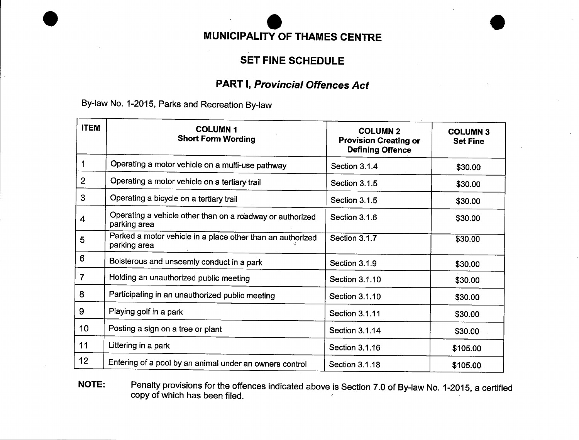# MUNICIPALITY OF THAMES CENTRE

# SET FINE SCHEDULE

# PART I, Provincial Offences Act

By-law No. 1-2015, Parks and Recreation By-law

| <b>ITEM</b>     | <b>COLUMN1</b><br><b>Short Form Wording</b>                                | <b>COLUMN 2</b><br><b>Provision Creating or</b><br><b>Defining Offence</b> | <b>COLUMN 3</b><br><b>Set Fine</b> |
|-----------------|----------------------------------------------------------------------------|----------------------------------------------------------------------------|------------------------------------|
| 1               | Operating a motor vehicle on a multi-use pathway                           | Section 3.1.4                                                              | \$30.00                            |
| $\overline{2}$  | Operating a motor vehicle on a tertiary trail                              | Section 3.1.5                                                              | \$30.00                            |
| 3               | Operating a bicycle on a tertiary trail                                    | Section 3.1.5                                                              | \$30.00                            |
| 4               | Operating a vehicle other than on a roadway or authorized<br>parking area  | Section 3.1.6                                                              | \$30.00                            |
| 5               | Parked a motor vehicle in a place other than an authorized<br>parking area | Section 3.1.7                                                              | \$30.00                            |
| 6               | Boisterous and unseemly conduct in a park                                  | Section 3.1.9                                                              | \$30.00                            |
| $\overline{7}$  | Holding an unauthorized public meeting                                     | Section 3.1.10                                                             | \$30.00                            |
| 8               | Participating in an unauthorized public meeting                            | Section 3.1.10                                                             | \$30.00                            |
| 9               | Playing golf in a park                                                     | Section 3.1.11                                                             | \$30.00                            |
| 10 <sub>1</sub> | Posting a sign on a tree or plant                                          | Section 3.1.14                                                             | \$30.00                            |
| 11              | Littering in a park                                                        | Section 3.1.16                                                             | \$105.00                           |
| 12              | Entering of a pool by an animal under an owners control                    | Section 3.1.18                                                             | \$105.00                           |

NOTE: Penalty provisions for the offences indicated above is Section 7.0 of By-law No. 1-2015, a certified copy of which has been filed.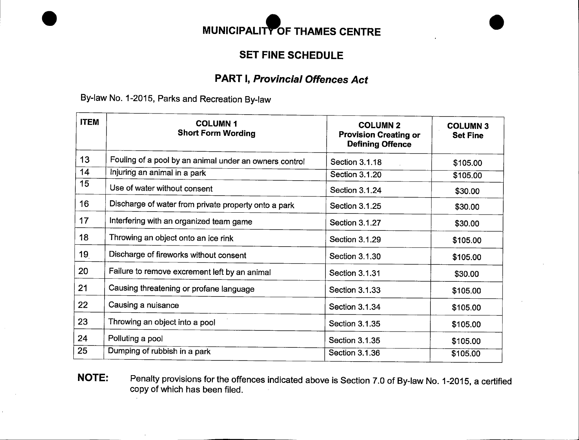

# SET FINE SCHEDULE

# PART I, Provincial Offences Act

By-law No. 1-2015, Parks and Recreation By-law

| <b>ITEM</b>     | <b>COLUMN1</b><br><b>Short Form Wording</b>            | <b>COLUMN 2</b><br><b>Provision Creating or</b><br><b>Defining Offence</b> | <b>COLUMN 3</b><br><b>Set Fine</b> |
|-----------------|--------------------------------------------------------|----------------------------------------------------------------------------|------------------------------------|
| 13              | Fouling of a pool by an animal under an owners control | Section 3.1.18                                                             | \$105.00                           |
| 14              | Injuring an animal in a park                           | Section 3.1.20                                                             | \$105.00                           |
| 15              | Use of water without consent                           | Section 3.1.24                                                             | \$30.00                            |
| 16              | Discharge of water from private property onto a park   | <b>Section 3.1.25</b>                                                      | \$30.00                            |
| 17              | Interfering with an organized team game                | <b>Section 3.1.27</b>                                                      | \$30.00                            |
| 18              | Throwing an object onto an ice rink                    | Section 3.1.29                                                             | \$105.00                           |
| 19 <sub>1</sub> | Discharge of fireworks without consent                 | Section 3.1.30                                                             | \$105.00                           |
| 20              | Failure to remove excrement left by an animal          | Section 3.1.31                                                             | \$30.00                            |
| 21              | Causing threatening or profane language                | <b>Section 3.1.33</b>                                                      | \$105.00                           |
| 22              | Causing a nuisance                                     | Section 3.1.34                                                             | \$105.00                           |
| 23              | Throwing an object into a pool                         | Section 3.1.35                                                             | \$105.00                           |
| 24              | Polluting a pool                                       | Section 3.1.35                                                             | \$105.00                           |
| 25              | Dumping of rubbish in a park                           | Section 3.1.36                                                             | \$105.00                           |

NOTE: Penalty provisions for the offences indicated above is Section 7.0 of By-law No. 1-2015, a certified copy of which has been filed.